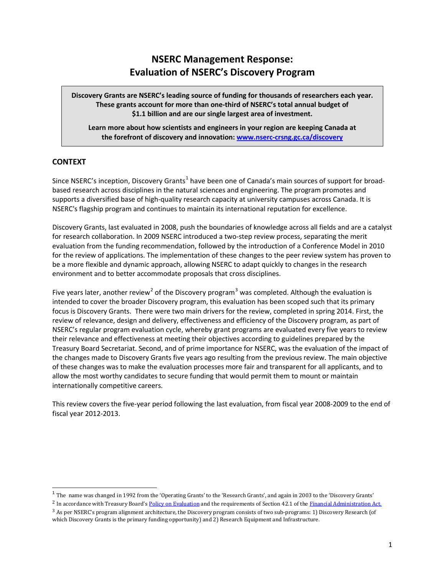# **NSERC Management Response: Evaluation of NSERC's Discovery Program**

**Discovery Grants are NSERC's leading source of funding for thousands of researchers each year. These grants account for more than one-third of NSERC's total annual budget of \$1.1 billion and are our single largest area of investment.**

**Learn more about how scientists and engineers in your region are keeping Canada at the forefront of discovery and innovation[: www.nserc-crsng.gc.ca/discovery](http://www.nserc-crsng.gc.ca/discovery)**

# **CONTEXT**

Since NSERC's inception, Discovery Grants<sup>[1](#page-0-0)</sup> have been one of Canada's main sources of support for broadbased research across disciplines in the natural sciences and engineering. The program promotes and supports a diversified base of high-quality research capacity at university campuses across Canada. It is NSERC's flagship program and continues to maintain its international reputation for excellence.

Discovery Grants, last evaluated in 2008, push the boundaries of knowledge across all fields and are a catalyst for research collaboration. In 2009 NSERC introduced a two-step review process, separating the merit evaluation from the funding recommendation, followed by the introduction of a Conference Model in 2010 for the review of applications. The implementation of these changes to the peer review system has proven to be a more flexible and dynamic approach, allowing NSERC to adapt quickly to changes in the research environment and to better accommodate proposals that cross disciplines.

Five years later, another review<sup>[2](#page-0-1)</sup> of the Discovery program<sup>[3](#page-0-2)</sup> was completed. Although the evaluation is intended to cover the broader Discovery program, this evaluation has been scoped such that its primary focus is Discovery Grants. There were two main drivers for the review, completed in spring 2014. First, the review of relevance, design and delivery, effectiveness and efficiency of the Discovery program, as part of NSERC's regular program evaluation cycle, whereby grant programs are evaluated every five years to review their relevance and effectiveness at meeting their objectives according to guidelines prepared by the Treasury Board Secretariat. Second, and of prime importance for NSERC, was the evaluation of the impact of the changes made to Discovery Grants five years ago resulting from the previous review. The main objective of these changes was to make the evaluation processes more fair and transparent for all applicants, and to allow the most worthy candidates to secure funding that would permit them to mount or maintain internationally competitive careers.

This review covers the five-year period following the last evaluation, from fiscal year 2008-2009 to the end of fiscal year 2012-2013.

 $<sup>1</sup>$  The name was changed in 1992 from the 'Operating Grants' to the 'Research Grants', and again in 2003 to the 'Discovery Grants'</sup>

<span id="page-0-2"></span><span id="page-0-1"></span><span id="page-0-0"></span><sup>&</sup>lt;sup>2</sup> In accordance with Treasury Board's Policy on [Evaluation](http://www.tbs-sct.gc.ca/pol/doc-eng.aspx?section=text&id=15024) and the requirements of Section 42.1 of the [Financial Administration Act.](http://laws-lois.justice.gc.ca/eng/acts/f-11/) <sup>3</sup> As per NSERC's program alignment architecture, the Discovery program consists of two sub-programs: 1) Discovery Research (of which Discovery Grants is the primary funding opportunity) and 2) Research Equipment and Infrastructure.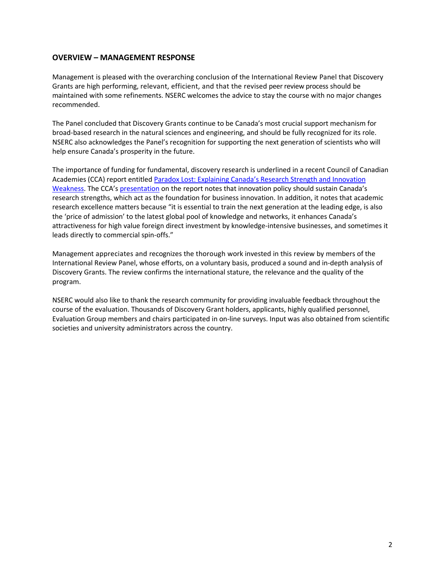# **OVERVIEW – MANAGEMENT RESPONSE**

Management is pleased with the overarching conclusion of the International Review Panel that Discovery Grants are high performing, relevant, efficient, and that the revised peer review process should be maintained with some refinements. NSERC welcomes the advice to stay the course with no major changes recommended.

The Panel concluded that Discovery Grants continue to be Canada's most crucial support mechanism for broad-based research in the natural sciences and engineering, and should be fully recognized for its role. NSERC also acknowledges the Panel's recognition for supporting the next generation of scientists who will help ensure Canada's prosperity in the future.

The importance of funding for fundamental, discovery research is underlined in a recent Council of Canadian Academies (CCA) report entitled Paradox Lost: Explaining Canada's Research Strength and Innovation [Weakness.](http://www.scienceadvice.ca/en/assessments/other/paradox_lost.aspx) The CCA's [presentation](http://www.scienceadvice.ca/uploads/eng/assessments%20and%20publications%20and%20news%20releases/synthesis/paradox_lost_presentation_en.pdf) on the report notes that innovation policy should sustain Canada's research strengths, which act as the foundation for business innovation. In addition, it notes that academic research excellence matters because "it is essential to train the next generation at the leading edge, is also the 'price of admission' to the latest global pool of knowledge and networks, it enhances Canada's attractiveness for high value foreign direct investment by knowledge-intensive businesses, and sometimes it leads directly to commercial spin-offs."

Management appreciates and recognizes the thorough work invested in this review by members of the International Review Panel, whose efforts, on a voluntary basis, produced a sound and in-depth analysis of Discovery Grants. The review confirms the international stature, the relevance and the quality of the program.

NSERC would also like to thank the research community for providing invaluable feedback throughout the course of the evaluation. Thousands of Discovery Grant holders, applicants, highly qualified personnel, Evaluation Group members and chairs participated in on-line surveys. Input was also obtained from scientific societies and university administrators across the country.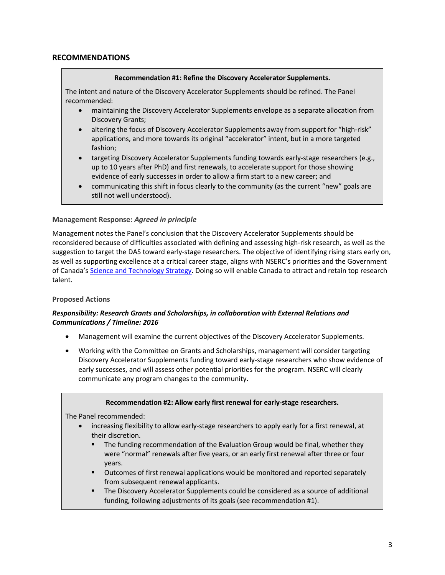## **RECOMMENDATIONS**

#### **Recommendation #1: Refine the Discovery Accelerator Supplements.**

The intent and nature of the Discovery Accelerator Supplements should be refined. The Panel recommended:

- maintaining the Discovery Accelerator Supplements envelope as a separate allocation from Discovery Grants;
- altering the focus of Discovery Accelerator Supplements away from support for "high-risk" applications, and more towards its original "accelerator" intent, but in a more targeted fashion;
- targeting Discovery Accelerator Supplements funding towards early-stage researchers (e.g., up to 10 years after PhD) and first renewals, to accelerate support for those showing evidence of early successes in order to allow a firm start to a new career; and
- communicating this shift in focus clearly to the community (as the current "new" goals are still not well understood).

#### **Management Response:** *Agreed in principle*

Management notes the Panel's conclusion that the Discovery Accelerator Supplements should be reconsidered because of difficulties associated with defining and assessing high-risk research, as well as the suggestion to target the DAS toward early-stage researchers. The objective of identifying rising stars early on, as well as supporting excellence at a critical career stage, aligns with NSERC's priorities and the Government of Canada's [Science and Technology Strategy.](http://www.ic.gc.ca/eic/site/icgc.nsf/eng/h_00231.html) Doing so will enable Canada to attract and retain top research talent.

#### **Proposed Actions**

## *Responsibility: Research Grants and Scholarships, in collaboration with External Relations and Communications / Timeline: 2016*

- Management will examine the current objectives of the Discovery Accelerator Supplements.
- Working with the Committee on Grants and Scholarships, management will consider targeting Discovery Accelerator Supplements funding toward early-stage researchers who show evidence of early successes, and will assess other potential priorities for the program. NSERC will clearly communicate any program changes to the community.

#### **Recommendation #2: Allow early first renewal for early-stage researchers.**

The Panel recommended:

- increasing flexibility to allow early-stage researchers to apply early for a first renewal, at their discretion.
	- The funding recommendation of the Evaluation Group would be final, whether they were "normal" renewals after five years, or an early first renewal after three or four years.
	- Outcomes of first renewal applications would be monitored and reported separately from subsequent renewal applicants.
	- The Discovery Accelerator Supplements could be considered as a source of additional funding, following adjustments of its goals (see recommendation #1).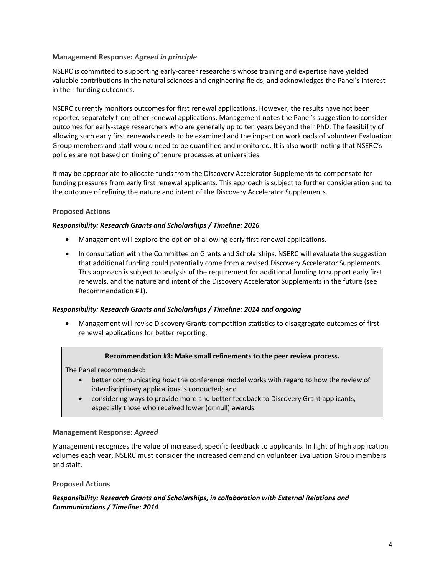## **Management Response:** *Agreed in principle*

NSERC is committed to supporting early-career researchers whose training and expertise have yielded valuable contributions in the natural sciences and engineering fields, and acknowledges the Panel's interest in their funding outcomes.

NSERC currently monitors outcomes for first renewal applications. However, the results have not been reported separately from other renewal applications. Management notes the Panel's suggestion to consider outcomes for early-stage researchers who are generally up to ten years beyond their PhD. The feasibility of allowing such early first renewals needs to be examined and the impact on workloads of volunteer Evaluation Group members and staff would need to be quantified and monitored. It is also worth noting that NSERC's policies are not based on timing of tenure processes at universities.

It may be appropriate to allocate funds from the Discovery Accelerator Supplements to compensate for funding pressures from early first renewal applicants. This approach is subject to further consideration and to the outcome of refining the nature and intent of the Discovery Accelerator Supplements.

## **Proposed Actions**

#### *Responsibility: Research Grants and Scholarships / Timeline: 2016*

- Management will explore the option of allowing early first renewal applications.
- In consultation with the Committee on Grants and Scholarships, NSERC will evaluate the suggestion that additional funding could potentially come from a revised Discovery Accelerator Supplements. This approach is subject to analysis of the requirement for additional funding to support early first renewals, and the nature and intent of the Discovery Accelerator Supplements in the future (see Recommendation #1).

#### *Responsibility: Research Grants and Scholarships / Timeline: 2014 and ongoing*

• Management will revise Discovery Grants competition statistics to disaggregate outcomes of first renewal applications for better reporting.

#### **Recommendation #3: Make small refinements to the peer review process.**

The Panel recommended:

- better communicating how the conference model works with regard to how the review of interdisciplinary applications is conducted; and
- considering ways to provide more and better feedback to Discovery Grant applicants, especially those who received lower (or null) awards.

#### **Management Response:** *Agreed*

Management recognizes the value of increased, specific feedback to applicants. In light of high application volumes each year, NSERC must consider the increased demand on volunteer Evaluation Group members and staff.

## **Proposed Actions**

#### *Responsibility: Research Grants and Scholarships, in collaboration with External Relations and Communications / Timeline: 2014*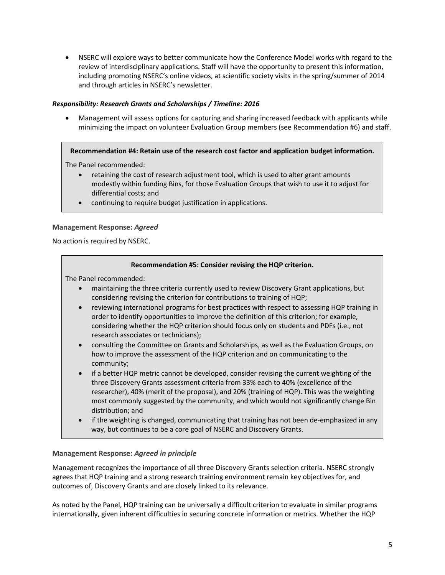• NSERC will explore ways to better communicate how the Conference Model works with regard to the review of interdisciplinary applications. Staff will have the opportunity to present this information, including promoting NSERC's online videos, at scientific society visits in the spring/summer of 2014 and through articles in NSERC's newsletter.

## *Responsibility: Research Grants and Scholarships / Timeline: 2016*

• Management will assess options for capturing and sharing increased feedback with applicants while minimizing the impact on volunteer Evaluation Group members (see Recommendation #6) and staff.

## **Recommendation #4: Retain use of the research cost factor and application budget information.**

The Panel recommended:

- retaining the cost of research adjustment tool, which is used to alter grant amounts modestly within funding Bins, for those Evaluation Groups that wish to use it to adjust for differential costs; and
- continuing to require budget justification in applications.

## **Management Response:** *Agreed*

No action is required by NSERC.

## **Recommendation #5: Consider revising the HQP criterion.**

The Panel recommended:

- maintaining the three criteria currently used to review Discovery Grant applications, but considering revising the criterion for contributions to training of HQP;
- reviewing international programs for best practices with respect to assessing HQP training in order to identify opportunities to improve the definition of this criterion; for example, considering whether the HQP criterion should focus only on students and PDFs (i.e., not research associates or technicians);
- consulting the Committee on Grants and Scholarships, as well as the Evaluation Groups, on how to improve the assessment of the HQP criterion and on communicating to the community;
- if a better HQP metric cannot be developed, consider revising the current weighting of the three Discovery Grants assessment criteria from 33% each to 40% (excellence of the researcher), 40% (merit of the proposal), and 20% (training of HQP). This was the weighting most commonly suggested by the community, and which would not significantly change Bin distribution; and
- if the weighting is changed, communicating that training has not been de-emphasized in any way, but continues to be a core goal of NSERC and Discovery Grants.

## **Management Response:** *Agreed in principle*

Management recognizes the importance of all three Discovery Grants selection criteria. NSERC strongly agrees that HQP training and a strong research training environment remain key objectives for, and outcomes of, Discovery Grants and are closely linked to its relevance.

As noted by the Panel, HQP training can be universally a difficult criterion to evaluate in similar programs internationally, given inherent difficulties in securing concrete information or metrics. Whether the HQP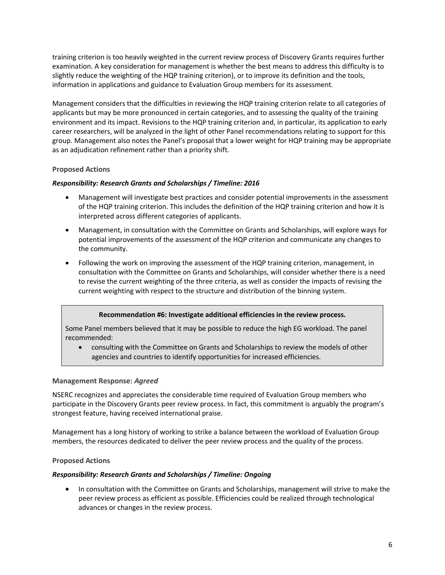training criterion is too heavily weighted in the current review process of Discovery Grants requires further examination. A key consideration for management is whether the best means to address this difficulty is to slightly reduce the weighting of the HQP training criterion), or to improve its definition and the tools, information in applications and guidance to Evaluation Group members for its assessment.

Management considers that the difficulties in reviewing the HQP training criterion relate to all categories of applicants but may be more pronounced in certain categories, and to assessing the quality of the training environment and its impact. Revisions to the HQP training criterion and, in particular, its application to early career researchers, will be analyzed in the light of other Panel recommendations relating to support for this group. Management also notes the Panel's proposal that a lower weight for HQP training may be appropriate as an adjudication refinement rather than a priority shift.

## **Proposed Actions**

## *Responsibility: Research Grants and Scholarships / Timeline: 2016*

- Management will investigate best practices and consider potential improvements in the assessment of the HQP training criterion. This includes the definition of the HQP training criterion and how it is interpreted across different categories of applicants.
- Management, in consultation with the Committee on Grants and Scholarships, will explore ways for potential improvements of the assessment of the HQP criterion and communicate any changes to the community.
- Following the work on improving the assessment of the HQP training criterion, management, in consultation with the Committee on Grants and Scholarships, will consider whether there is a need to revise the current weighting of the three criteria, as well as consider the impacts of revising the current weighting with respect to the structure and distribution of the binning system.

## **Recommendation #6: Investigate additional efficiencies in the review process.**

Some Panel members believed that it may be possible to reduce the high EG workload. The panel recommended:

• consulting with the Committee on Grants and Scholarships to review the models of other agencies and countries to identify opportunities for increased efficiencies.

## **Management Response:** *Agreed*

NSERC recognizes and appreciates the considerable time required of Evaluation Group members who participate in the Discovery Grants peer review process. In fact, this commitment is arguably the program's strongest feature, having received international praise.

Management has a long history of working to strike a balance between the workload of Evaluation Group members, the resources dedicated to deliver the peer review process and the quality of the process.

## **Proposed Actions**

## *Responsibility: Research Grants and Scholarships / Timeline: Ongoing*

• In consultation with the Committee on Grants and Scholarships, management will strive to make the peer review process as efficient as possible. Efficiencies could be realized through technological advances or changes in the review process.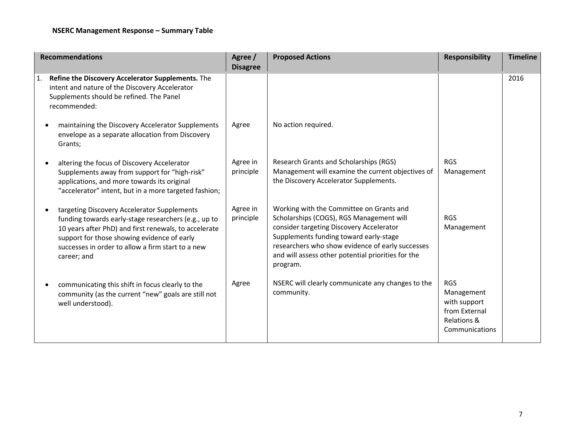| <b>Recommendations</b> |                                                                                                                                                                                                                                                                                 | Agree /<br><b>Disagree</b> | <b>Proposed Actions</b>                                                                                                                                                                                                                                                                          | <b>Responsibility</b>                                                                      | <b>Timeline</b> |
|------------------------|---------------------------------------------------------------------------------------------------------------------------------------------------------------------------------------------------------------------------------------------------------------------------------|----------------------------|--------------------------------------------------------------------------------------------------------------------------------------------------------------------------------------------------------------------------------------------------------------------------------------------------|--------------------------------------------------------------------------------------------|-----------------|
| 1.                     | Refine the Discovery Accelerator Supplements. The<br>intent and nature of the Discovery Accelerator<br>Supplements should be refined. The Panel<br>recommended:                                                                                                                 |                            |                                                                                                                                                                                                                                                                                                  |                                                                                            | 2016            |
|                        | maintaining the Discovery Accelerator Supplements<br>envelope as a separate allocation from Discovery<br>Grants;                                                                                                                                                                | Agree                      | No action required.                                                                                                                                                                                                                                                                              |                                                                                            |                 |
|                        | altering the focus of Discovery Accelerator<br>Supplements away from support for "high-risk"<br>applications, and more towards its original<br>"accelerator" intent, but in a more targeted fashion;                                                                            | Agree in<br>principle      | Research Grants and Scholarships (RGS)<br>Management will examine the current objectives of<br>the Discovery Accelerator Supplements.                                                                                                                                                            | <b>RGS</b><br>Management                                                                   |                 |
|                        | targeting Discovery Accelerator Supplements<br>funding towards early-stage researchers (e.g., up to<br>10 years after PhD) and first renewals, to accelerate<br>support for those showing evidence of early<br>successes in order to allow a firm start to a new<br>career; and | Agree in<br>principle      | Working with the Committee on Grants and<br>Scholarships (COGS), RGS Management will<br>consider targeting Discovery Accelerator<br>Supplements funding toward early-stage<br>researchers who show evidence of early successes<br>and will assess other potential priorities for the<br>program. | <b>RGS</b><br>Management                                                                   |                 |
|                        | communicating this shift in focus clearly to the<br>community (as the current "new" goals are still not<br>well understood).                                                                                                                                                    | Agree                      | NSERC will clearly communicate any changes to the<br>community.                                                                                                                                                                                                                                  | <b>RGS</b><br>Management<br>with support<br>from External<br>Relations &<br>Communications |                 |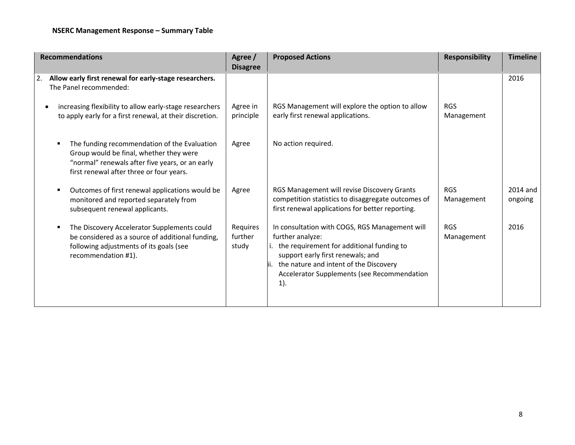| <b>Recommendations</b>                                                                                                                                                                 | Agree /<br><b>Disagree</b>   | <b>Proposed Actions</b>                                                                                                                                                                                                                                    | <b>Responsibility</b>    | <b>Timeline</b>     |
|----------------------------------------------------------------------------------------------------------------------------------------------------------------------------------------|------------------------------|------------------------------------------------------------------------------------------------------------------------------------------------------------------------------------------------------------------------------------------------------------|--------------------------|---------------------|
| Allow early first renewal for early-stage researchers.<br>2.<br>The Panel recommended:                                                                                                 |                              |                                                                                                                                                                                                                                                            |                          | 2016                |
| increasing flexibility to allow early-stage researchers<br>to apply early for a first renewal, at their discretion.                                                                    | Agree in<br>principle        | RGS Management will explore the option to allow<br>early first renewal applications.                                                                                                                                                                       | <b>RGS</b><br>Management |                     |
| The funding recommendation of the Evaluation<br>Group would be final, whether they were<br>"normal" renewals after five years, or an early<br>first renewal after three or four years. | Agree                        | No action required.                                                                                                                                                                                                                                        |                          |                     |
| Outcomes of first renewal applications would be<br>п<br>monitored and reported separately from<br>subsequent renewal applicants.                                                       | Agree                        | RGS Management will revise Discovery Grants<br>competition statistics to disaggregate outcomes of<br>first renewal applications for better reporting.                                                                                                      | <b>RGS</b><br>Management | 2014 and<br>ongoing |
| The Discovery Accelerator Supplements could<br>Е<br>be considered as a source of additional funding,<br>following adjustments of its goals (see<br>recommendation #1).                 | Requires<br>further<br>study | In consultation with COGS, RGS Management will<br>further analyze:<br>i. the requirement for additional funding to<br>support early first renewals; and<br>the nature and intent of the Discovery<br>Accelerator Supplements (see Recommendation<br>$1$ ). | <b>RGS</b><br>Management | 2016                |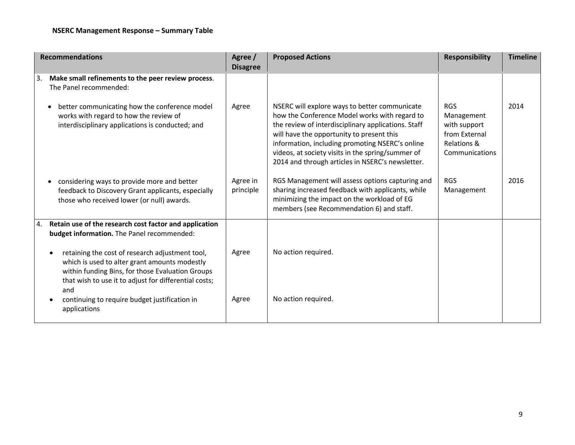| <b>Recommendations</b>                                                                                                                                                                                               | Agree /<br><b>Disagree</b> | <b>Proposed Actions</b>                                                                                                                                                                                                                                                                                                                                        | <b>Responsibility</b>                                                                      | <b>Timeline</b> |
|----------------------------------------------------------------------------------------------------------------------------------------------------------------------------------------------------------------------|----------------------------|----------------------------------------------------------------------------------------------------------------------------------------------------------------------------------------------------------------------------------------------------------------------------------------------------------------------------------------------------------------|--------------------------------------------------------------------------------------------|-----------------|
| Make small refinements to the peer review process.<br>3.<br>The Panel recommended:                                                                                                                                   |                            |                                                                                                                                                                                                                                                                                                                                                                |                                                                                            |                 |
| better communicating how the conference model<br>works with regard to how the review of<br>interdisciplinary applications is conducted; and                                                                          | Agree                      | NSERC will explore ways to better communicate<br>how the Conference Model works with regard to<br>the review of interdisciplinary applications. Staff<br>will have the opportunity to present this<br>information, including promoting NSERC's online<br>videos, at society visits in the spring/summer of<br>2014 and through articles in NSERC's newsletter. | <b>RGS</b><br>Management<br>with support<br>from External<br>Relations &<br>Communications | 2014            |
| considering ways to provide more and better<br>feedback to Discovery Grant applicants, especially<br>those who received lower (or null) awards.                                                                      | Agree in<br>principle      | RGS Management will assess options capturing and<br>sharing increased feedback with applicants, while<br>minimizing the impact on the workload of EG<br>members (see Recommendation 6) and staff.                                                                                                                                                              | <b>RGS</b><br>Management                                                                   | 2016            |
| Retain use of the research cost factor and application<br>4.<br>budget information. The Panel recommended:                                                                                                           |                            |                                                                                                                                                                                                                                                                                                                                                                |                                                                                            |                 |
| retaining the cost of research adjustment tool,<br>which is used to alter grant amounts modestly<br>within funding Bins, for those Evaluation Groups<br>that wish to use it to adjust for differential costs;<br>and | Agree                      | No action required.                                                                                                                                                                                                                                                                                                                                            |                                                                                            |                 |
| continuing to require budget justification in<br>applications                                                                                                                                                        | Agree                      | No action required.                                                                                                                                                                                                                                                                                                                                            |                                                                                            |                 |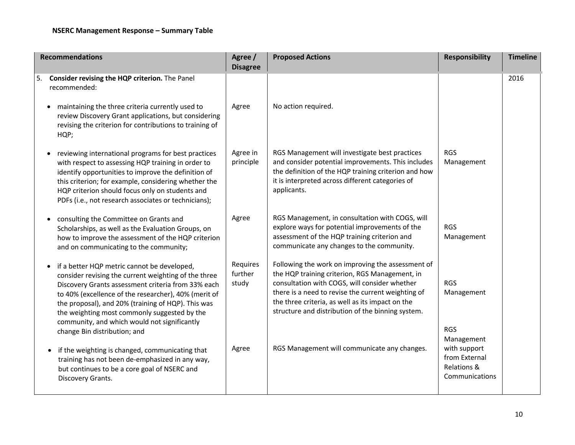| <b>Recommendations</b>                                                                                                                                                                                                                                                                                                                                                  | Agree /<br><b>Disagree</b>   | <b>Proposed Actions</b>                                                                                                                                                                                                                                                                                             | <b>Responsibility</b>                                                                      | <b>Timeline</b> |
|-------------------------------------------------------------------------------------------------------------------------------------------------------------------------------------------------------------------------------------------------------------------------------------------------------------------------------------------------------------------------|------------------------------|---------------------------------------------------------------------------------------------------------------------------------------------------------------------------------------------------------------------------------------------------------------------------------------------------------------------|--------------------------------------------------------------------------------------------|-----------------|
| 5. Consider revising the HQP criterion. The Panel<br>recommended:                                                                                                                                                                                                                                                                                                       |                              |                                                                                                                                                                                                                                                                                                                     |                                                                                            | 2016            |
| maintaining the three criteria currently used to<br>review Discovery Grant applications, but considering<br>revising the criterion for contributions to training of<br>HQP;                                                                                                                                                                                             | Agree                        | No action required.                                                                                                                                                                                                                                                                                                 |                                                                                            |                 |
| reviewing international programs for best practices<br>with respect to assessing HQP training in order to<br>identify opportunities to improve the definition of<br>this criterion; for example, considering whether the<br>HQP criterion should focus only on students and<br>PDFs (i.e., not research associates or technicians);                                     | Agree in<br>principle        | RGS Management will investigate best practices<br>and consider potential improvements. This includes<br>the definition of the HQP training criterion and how<br>it is interpreted across different categories of<br>applicants.                                                                                     | <b>RGS</b><br>Management                                                                   |                 |
| consulting the Committee on Grants and<br>Scholarships, as well as the Evaluation Groups, on<br>how to improve the assessment of the HQP criterion<br>and on communicating to the community;                                                                                                                                                                            | Agree                        | RGS Management, in consultation with COGS, will<br>explore ways for potential improvements of the<br>assessment of the HQP training criterion and<br>communicate any changes to the community.                                                                                                                      | <b>RGS</b><br>Management                                                                   |                 |
| if a better HQP metric cannot be developed,<br>consider revising the current weighting of the three<br>Discovery Grants assessment criteria from 33% each<br>to 40% (excellence of the researcher), 40% (merit of<br>the proposal), and 20% (training of HQP). This was<br>the weighting most commonly suggested by the<br>community, and which would not significantly | Requires<br>further<br>study | Following the work on improving the assessment of<br>the HQP training criterion, RGS Management, in<br>consultation with COGS, will consider whether<br>there is a need to revise the current weighting of<br>the three criteria, as well as its impact on the<br>structure and distribution of the binning system. | <b>RGS</b><br>Management                                                                   |                 |
| change Bin distribution; and<br>if the weighting is changed, communicating that<br>training has not been de-emphasized in any way,<br>but continues to be a core goal of NSERC and<br>Discovery Grants.                                                                                                                                                                 | Agree                        | RGS Management will communicate any changes.                                                                                                                                                                                                                                                                        | <b>RGS</b><br>Management<br>with support<br>from External<br>Relations &<br>Communications |                 |